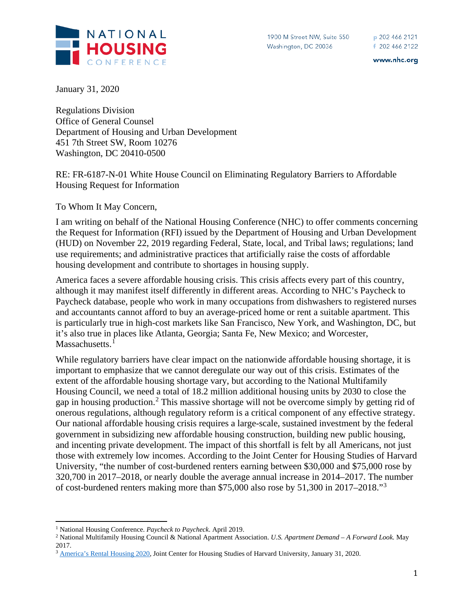

www.nhc.org

January 31, 2020

Regulations Division Office of General Counsel Department of Housing and Urban Development 451 7th Street SW, Room 10276 Washington, DC 20410-0500

RE: FR-6187-N-01 White House Council on Eliminating Regulatory Barriers to Affordable Housing Request for Information

To Whom It May Concern,

I am writing on behalf of the National Housing Conference (NHC) to offer comments concerning the Request for Information (RFI) issued by the Department of Housing and Urban Development (HUD) on November 22, 2019 regarding Federal, State, local, and Tribal laws; regulations; land use requirements; and administrative practices that artificially raise the costs of affordable housing development and contribute to shortages in housing supply.

America faces a severe affordable housing crisis. This crisis affects every part of this country, although it may manifest itself differently in different areas. According to NHC's Paycheck to Paycheck database, people who work in many occupations from dishwashers to registered nurses and accountants cannot afford to buy an average-priced home or rent a suitable apartment. This is particularly true in high-cost markets like San Francisco, New York, and Washington, DC, but it's also true in places like Atlanta, Georgia; Santa Fe, New Mexico; and Worcester, Massachusetts.<sup>[1](#page-0-0)</sup>

While regulatory barriers have clear impact on the nationwide affordable housing shortage, it is important to emphasize that we cannot deregulate our way out of this crisis. Estimates of the extent of the affordable housing shortage vary, but according to the National Multifamily Housing Council, we need a total of 18.2 million additional housing units by 2030 to close the gap in housing production.<sup>[2](#page-0-1)</sup> This massive shortage will not be overcome simply by getting rid of onerous regulations, although regulatory reform is a critical component of any effective strategy. Our national affordable housing crisis requires a large-scale, sustained investment by the federal government in subsidizing new affordable housing construction, building new public housing, and incenting private development. The impact of this shortfall is felt by all Americans, not just those with extremely low incomes. According to the Joint Center for Housing Studies of Harvard University, "the number of cost-burdened renters earning between \$30,000 and \$75,000 rose by 320,700 in 2017–2018, or nearly double the average annual increase in 2014–2017. The number of cost-burdened renters making more than \$75,000 also rose by 51,300 in 2017–2018."[3](#page-0-2)

<span id="page-0-0"></span><sup>1</sup> National Housing Conference. *Paycheck to Paycheck*. April 2019.

<span id="page-0-1"></span><sup>2</sup> National Multifamily Housing Council & National Apartment Association. *U.S. Apartment Demand – A Forward Look.* May 2017.

<span id="page-0-2"></span><sup>&</sup>lt;sup>3</sup> [America's Rental Housing 2020,](https://www.jchs.harvard.edu/sites/default/files/Harvard_JCHS_Americas_Rental_Housing_2020.pdf) Joint Center for Housing Studies of Harvard University, January 31, 2020.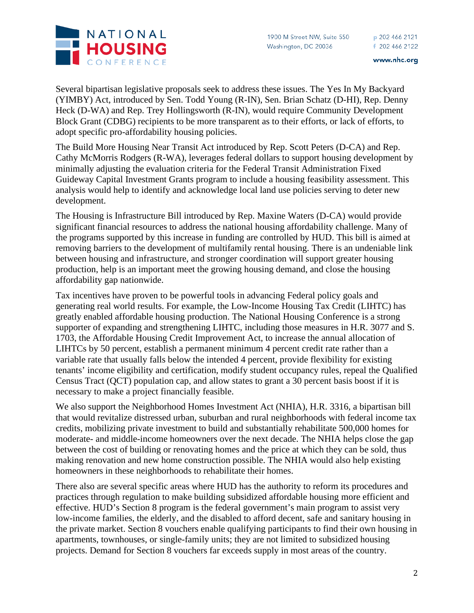

Several bipartisan legislative proposals seek to address these issues. The Yes In My Backyard (YIMBY) Act, introduced by Sen. Todd Young (R-IN), Sen. Brian Schatz (D-HI), Rep. Denny Heck (D-WA) and Rep. Trey Hollingsworth (R-IN), would require Community Development Block Grant (CDBG) recipients to be more transparent as to their efforts, or lack of efforts, to adopt specific pro-affordability housing policies.

The Build More Housing Near Transit Act introduced by Rep. Scott Peters (D-CA) and Rep. Cathy McMorris Rodgers (R-WA), leverages federal dollars to support housing development by minimally adjusting the evaluation criteria for the Federal Transit Administration Fixed Guideway Capital Investment Grants program to include a housing feasibility assessment. This analysis would help to identify and acknowledge local land use policies serving to deter new development.

The Housing is Infrastructure Bill introduced by Rep. Maxine Waters (D-CA) would provide significant financial resources to address the national housing affordability challenge. Many of the programs supported by this increase in funding are controlled by HUD. This bill is aimed at removing barriers to the development of multifamily rental housing. There is an undeniable link between housing and infrastructure, and stronger coordination will support greater housing production, help is an important meet the growing housing demand, and close the housing affordability gap nationwide.

Tax incentives have proven to be powerful tools in advancing Federal policy goals and generating real world results. For example, the Low-Income Housing Tax Credit (LIHTC) has greatly enabled affordable housing production. The National Housing Conference is a strong supporter of expanding and strengthening LIHTC, including those measures in H.R. 3077 and S. 1703, the Affordable Housing Credit Improvement Act, to increase the annual allocation of LIHTCs by 50 percent, establish a permanent minimum 4 percent credit rate rather than a variable rate that usually falls below the intended 4 percent, provide flexibility for existing tenants' income eligibility and certification, modify student occupancy rules, repeal the Qualified Census Tract (QCT) population cap, and allow states to grant a 30 percent basis boost if it is necessary to make a project financially feasible.

We also support the Neighborhood Homes Investment Act (NHIA), H.R. 3316, a bipartisan bill that would revitalize distressed urban, suburban and rural neighborhoods with federal income tax credits, mobilizing private investment to build and substantially rehabilitate 500,000 homes for moderate- and middle-income homeowners over the next decade. The NHIA helps close the gap between the cost of building or renovating homes and the price at which they can be sold, thus making renovation and new home construction possible. The NHIA would also help existing homeowners in these neighborhoods to rehabilitate their homes.

There also are several specific areas where HUD has the authority to reform its procedures and practices through regulation to make building subsidized affordable housing more efficient and effective. HUD's Section 8 program is the federal government's main program to assist very low-income families, the elderly, and the disabled to afford decent, safe and sanitary housing in the private market. Section 8 vouchers enable qualifying participants to find their own housing in apartments, townhouses, or single-family units; they are not limited to subsidized housing projects. Demand for Section 8 vouchers far exceeds supply in most areas of the country.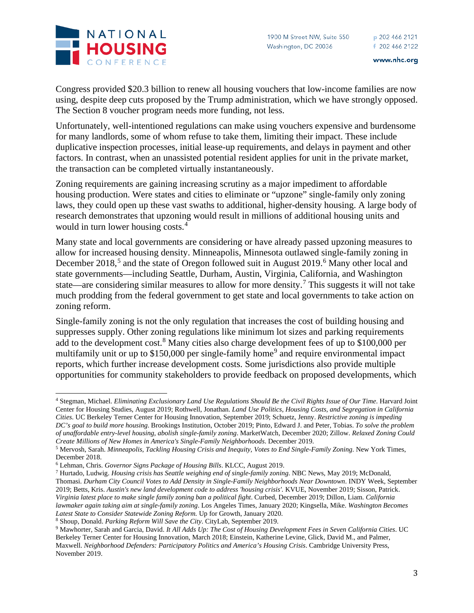

Congress provided \$20.3 billion to renew all housing vouchers that low-income families are now using, despite deep cuts proposed by the Trump administration, which we have strongly opposed. The Section 8 voucher program needs more funding, not less.

Unfortunately, well-intentioned regulations can make using vouchers expensive and burdensome for many landlords, some of whom refuse to take them, limiting their impact. These include duplicative inspection processes, initial lease-up requirements, and delays in payment and other factors. In contrast, when an unassisted potential resident applies for unit in the private market, the transaction can be completed virtually instantaneously.

Zoning requirements are gaining increasing scrutiny as a major impediment to affordable housing production. Were states and cities to eliminate or "upzone" single-family only zoning laws, they could open up these vast swaths to additional, higher-density housing. A large body of research demonstrates that upzoning would result in millions of additional housing units and would in turn lower housing costs. [4](#page-2-0)

Many state and local governments are considering or have already passed upzoning measures to allow for increased housing density. Minneapolis, Minnesota outlawed single-family zoning in December 2018,<sup>[5](#page-2-1)</sup> and the state of Oregon followed suit in August 2019.<sup>[6](#page-2-2)</sup> Many other local and state governments—including Seattle, Durham, Austin, Virginia, California, and Washington state—are considering similar measures to allow for more density.[7](#page-2-3) This suggests it will not take much prodding from the federal government to get state and local governments to take action on zoning reform.

Single-family zoning is not the only regulation that increases the cost of building housing and suppresses supply. Other zoning regulations like minimum lot sizes and parking requirements add to the development cost.<sup>[8](#page-2-4)</sup> Many cities also charge development fees of up to \$100,000 per multifamily unit or up to  $$150,000$  per single-family home<sup>[9](#page-2-5)</sup> and require environmental impact reports, which further increase development costs. Some jurisdictions also provide multiple opportunities for community stakeholders to provide feedback on proposed developments, which

<span id="page-2-0"></span><sup>4</sup> Stegman, Michael. *Eliminating Exclusionary Land Use Regulations Should Be the Civil Rights Issue of Our Time*. Harvard Joint Center for Housing Studies, August 2019; Rothwell, Jonathan. *Land Use Politics, Housing Costs, and Segregation in California Cities*. UC Berkeley Terner Center for Housing Innovation, September 2019; Schuetz, Jenny. *Restrictive zoning is impeding DC's goal to build more housing*. Brookings Institution, October 2019; Pinto, Edward J. and Peter, Tobias. *To solve the problem of unaffordable entry-level housing, abolish single-family zoning*. MarketWatch, December 2020; Zillow. *Relaxed Zoning Could Create Millions of New Homes in America's Single-Family Neighborhoods*. December 2019.

<span id="page-2-1"></span><sup>5</sup> Mervosh, Sarah. *Minneapolis, Tackling Housing Crisis and Inequity, Votes to End Single-Family Zoning*. New York Times, December 2018.

<span id="page-2-2"></span><sup>6</sup> Lehman, Chris. *Governor Signs Package of Housing Bills*. KLCC, August 2019.

<span id="page-2-3"></span><sup>7</sup> Hurtado, Ludwig. *Housing crisis has Seattle weighing end of single-family zoning*. NBC News, May 2019; McDonald,

Thomasi. *Durham City Council Votes to Add Density in Single-Family Neighborhoods Near Downtown*. INDY Week, September 2019; Betts, Kris. *Austin's new land development code to address 'housing crisis'.* KVUE, November 2019; Sisson, Patrick. *Virginia latest place to make single family zoning ban a political fight*. Curbed, December 2019; Dillon, Liam. *California lawmaker again taking aim at single-family zoning*. Los Angeles Times, January 2020; Kingsella, Mike. *Washington Becomes Latest State to Consider Statewide Zoning Reform.* Up for Growth, January 2020. <sup>8</sup> Shoup, Donald. *Parking Reform Will Save the City*. CityLab, September 2019.

<span id="page-2-5"></span><span id="page-2-4"></span><sup>9</sup> Mawhorter, Sarah and Garcia, David. *It All Adds Up: The Cost of Housing Development Fees in Seven California Cities*. UC Berkeley Terner Center for Housing Innovation, March 2018; Einstein, Katherine Levine, Glick, David M., and Palmer, Maxwell. *Neighborhood Defenders: Participatory Politics and America's Housing Crisis*. Cambridge University Press, November 2019.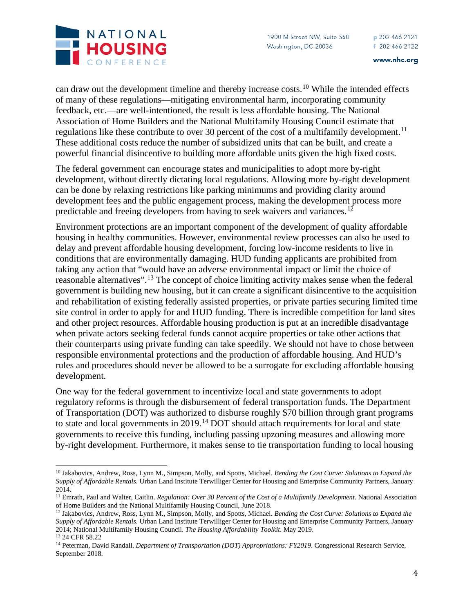

can draw out the development timeline and thereby increase costs.[10](#page-3-0) While the intended effects of many of these regulations—mitigating environmental harm, incorporating community feedback, etc.—are well-intentioned, the result is less affordable housing. The National Association of Home Builders and the National Multifamily Housing Council estimate that regulations like these contribute to over 30 percent of the cost of a multifamily development.<sup>[11](#page-3-1)</sup> These additional costs reduce the number of subsidized units that can be built, and create a powerful financial disincentive to building more affordable units given the high fixed costs.

The federal government can encourage states and municipalities to adopt more by-right development, without directly dictating local regulations. Allowing more by-right development can be done by relaxing restrictions like parking minimums and providing clarity around development fees and the public engagement process, making the development process more predictable and freeing developers from having to seek waivers and variances.<sup>[12](#page-3-2)</sup>

Environment protections are an important component of the development of quality affordable housing in healthy communities. However, environmental review processes can also be used to delay and prevent affordable housing development, forcing low-income residents to live in conditions that are environmentally damaging. HUD funding applicants are prohibited from taking any action that "would have an adverse environmental impact or limit the choice of reasonable alternatives".<sup>[13](#page-3-3)</sup> The concept of choice limiting activity makes sense when the federal government is building new housing, but it can create a significant disincentive to the acquisition and rehabilitation of existing federally assisted properties, or private parties securing limited time site control in order to apply for and HUD funding. There is incredible competition for land sites and other project resources. Affordable housing production is put at an incredible disadvantage when private actors seeking federal funds cannot acquire properties or take other actions that their counterparts using private funding can take speedily. We should not have to chose between responsible environmental protections and the production of affordable housing. And HUD's rules and procedures should never be allowed to be a surrogate for excluding affordable housing development.

One way for the federal government to incentivize local and state governments to adopt regulatory reforms is through the disbursement of federal transportation funds. The Department of Transportation (DOT) was authorized to disburse roughly \$70 billion through grant programs to state and local governments in 2019.<sup>[14](#page-3-4)</sup> DOT should attach requirements for local and state governments to receive this funding, including passing upzoning measures and allowing more by-right development. Furthermore, it makes sense to tie transportation funding to local housing

<span id="page-3-0"></span><sup>10</sup> Jakabovics, Andrew, Ross, Lynn M., Simpson, Molly, and Spotts, Michael. *Bending the Cost Curve: Solutions to Expand the Supply of Affordable Rentals*. Urban Land Institute Terwilliger Center for Housing and Enterprise Community Partners, January 2014.

<span id="page-3-1"></span><sup>&</sup>lt;sup>11</sup> Emrath, Paul and Walter, Caitlin. *Regulation: Over 30 Percent of the Cost of a Multifamily Development*. National Association of Home Builders and the National Multifamily Housing Council, June 2018.

<span id="page-3-2"></span><sup>12</sup> Jakabovics, Andrew, Ross, Lynn M., Simpson, Molly, and Spotts, Michael. *Bending the Cost Curve: Solutions to Expand the Supply of Affordable Rentals*. Urban Land Institute Terwilliger Center for Housing and Enterprise Community Partners, January 2014; National Multifamily Housing Council. *The Housing Affordability Toolkit*. May 2019.

<span id="page-3-3"></span><sup>13</sup> 24 CFR 58.22

<span id="page-3-4"></span><sup>14</sup> Peterman, David Randall. *Department of Transportation (DOT) Appropriations: FY2019*. Congressional Research Service, September 2018.